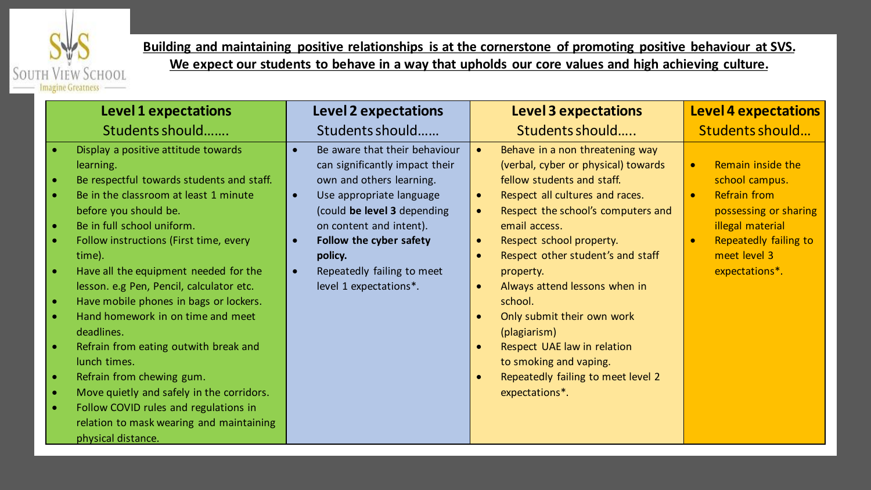

**Building and maintaining positive relationships is at the cornerstone of promoting positive behaviour at SVS. We expect our students to behave in a way that upholds our core values and high achieving culture.**

| <b>Level 1 expectations</b>                                                                                                                                                                                                                                                                                                                                                                                                                                                                                                                                                                                                                                                                    | <b>Level 2 expectations</b>                                                                                                                                                                                                                                                                                                         | <b>Level 3 expectations</b>                                                                                                                                                                                                                                                                                                                                                                                                                                                                                                    | <b>Level 4 expectations</b>                                                                                                                                                                  |
|------------------------------------------------------------------------------------------------------------------------------------------------------------------------------------------------------------------------------------------------------------------------------------------------------------------------------------------------------------------------------------------------------------------------------------------------------------------------------------------------------------------------------------------------------------------------------------------------------------------------------------------------------------------------------------------------|-------------------------------------------------------------------------------------------------------------------------------------------------------------------------------------------------------------------------------------------------------------------------------------------------------------------------------------|--------------------------------------------------------------------------------------------------------------------------------------------------------------------------------------------------------------------------------------------------------------------------------------------------------------------------------------------------------------------------------------------------------------------------------------------------------------------------------------------------------------------------------|----------------------------------------------------------------------------------------------------------------------------------------------------------------------------------------------|
| Students should                                                                                                                                                                                                                                                                                                                                                                                                                                                                                                                                                                                                                                                                                | Students should                                                                                                                                                                                                                                                                                                                     | Students should                                                                                                                                                                                                                                                                                                                                                                                                                                                                                                                | Students should                                                                                                                                                                              |
| Display a positive attitude towards<br>learning.<br>Be respectful towards students and staff.<br>Be in the classroom at least 1 minute<br>before you should be.<br>Be in full school uniform.<br>Follow instructions (First time, every<br>time).<br>Have all the equipment needed for the<br>lesson. e.g Pen, Pencil, calculator etc.<br>Have mobile phones in bags or lockers.<br>Hand homework in on time and meet<br>deadlines.<br>Refrain from eating outwith break and<br>lunch times.<br>Refrain from chewing gum.<br>$\bullet$<br>Move quietly and safely in the corridors.<br>Follow COVID rules and regulations in<br>relation to mask wearing and maintaining<br>physical distance. | Be aware that their behaviour<br>$\bullet$<br>can significantly impact their<br>own and others learning.<br>Use appropriate language<br>$\bullet$<br>(could be level 3 depending<br>on content and intent).<br>Follow the cyber safety<br>$\bullet$<br>policy.<br>Repeatedly failing to meet<br>$\bullet$<br>level 1 expectations*. | Behave in a non threatening way<br>(verbal, cyber or physical) towards<br>fellow students and staff.<br>Respect all cultures and races.<br>$\bullet$<br>Respect the school's computers and<br>email access.<br>Respect school property.<br>$\bullet$<br>Respect other student's and staff<br>property.<br>Always attend lessons when in<br>$\bullet$<br>school.<br>Only submit their own work<br>(plagiarism)<br>Respect UAE law in relation<br>to smoking and vaping.<br>Repeatedly failing to meet level 2<br>expectations*. | Remain inside the<br>$\bullet$<br>school campus.<br><b>Refrain from</b><br>$\bullet$<br>possessing or sharing<br>illegal material<br>Repeatedly failing to<br>meet level 3<br>expectations*. |